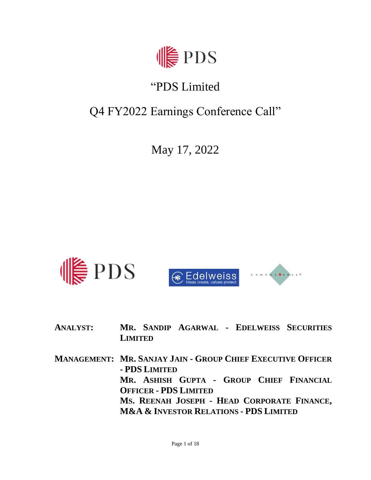

# "PDS Limited

# Q4 FY2022 Earnings Conference Call"

May 17, 2022



- **ANALYST: MR. SANDIP AGARWAL - EDELWEISS SECURITIES LIMITED**
- **MANAGEMENT: MR. SANJAY JAIN - GROUP CHIEF EXECUTIVE OFFICER - PDS LIMITED MR. ASHISH GUPTA - GROUP CHIEF FINANCIAL OFFICER - PDS LIMITED MS. REENAH JOSEPH - HEAD CORPORATE FINANCE, M&A & INVESTOR RELATIONS - PDS LIMITED**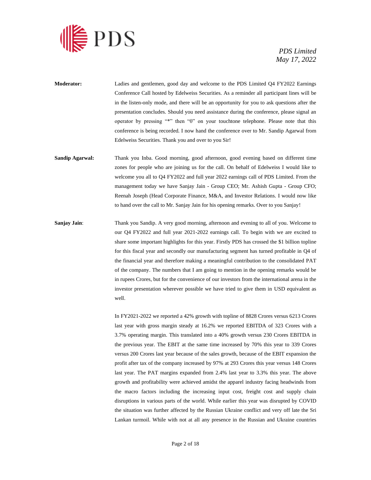

- **Moderator:** Ladies and gentlemen, good day and welcome to the PDS Limited Q4 FY2022 Earnings Conference Call hosted by Edelweiss Securities. As a reminder all participant lines will be in the listen-only mode, and there will be an opportunity for you to ask questions after the presentation concludes. Should you need assistance during the conference, please signal an operator by pressing "\*" then "0" on your touchtone telephone. Please note that this conference is being recorded. I now hand the conference over to Mr. Sandip Agarwal from Edelweiss Securities. Thank you and over to you Sir!
- **Sandip Agarwal:** Thank you Inba. Good morning, good afternoon, good evening based on different time zones for people who are joining us for the call. On behalf of Edelweiss I would like to welcome you all to Q4 FY2022 and full year 2022 earnings call of PDS Limited. From the management today we have Sanjay Jain - Group CEO; Mr. Ashish Gupta - Group CFO; Reenah Joseph (Head Corporate Finance, M&A, and Investor Relations. I would now like to hand over the call to Mr. Sanjay Jain for his opening remarks. Over to you Sanjay!
- **Sanjay Jain**: Thank you Sandip. A very good morning, afternoon and evening to all of you. Welcome to our Q4 FY2022 and full year 2021-2022 earnings call. To begin with we are excited to share some important highlights for this year. Firstly PDS has crossed the \$1 billion topline for this fiscal year and secondly our manufacturing segment has turned profitable in Q4 of the financial year and therefore making a meaningful contribution to the consolidated PAT of the company. The numbers that I am going to mention in the opening remarks would be in rupees Crores, but for the convenience of our investors from the international arena in the investor presentation wherever possible we have tried to give them in USD equivalent as well.

In FY2021-2022 we reported a 42% growth with topline of 8828 Crores versus 6213 Crores last year with gross margin steady at 16.2% we reported EBITDA of 323 Crores with a 3.7% operating margin. This translated into a 40% growth versus 230 Crores EBITDA in the previous year. The EBIT at the same time increased by 70% this year to 339 Crores versus 200 Crores last year because of the sales growth, because of the EBIT expansion the profit after tax of the company increased by 97% at 293 Crores this year versus 148 Crores last year. The PAT margins expanded from 2.4% last year to 3.3% this year. The above growth and profitability were achieved amidst the apparel industry facing headwinds from the macro factors including the increasing input cost, freight cost and supply chain disruptions in various parts of the world. While earlier this year was disrupted by COVID the situation was further affected by the Russian Ukraine conflict and very off late the Sri Lankan turmoil. While with not at all any presence in the Russian and Ukraine countries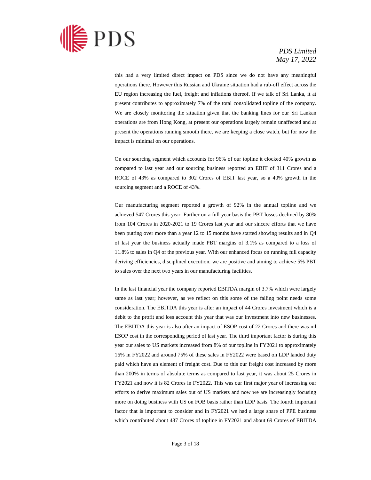

this had a very limited direct impact on PDS since we do not have any meaningful operations there. However this Russian and Ukraine situation had a rub-off effect across the EU region increasing the fuel, freight and inflations thereof. If we talk of Sri Lanka, it at present contributes to approximately 7% of the total consolidated topline of the company. We are closely monitoring the situation given that the banking lines for our Sri Lankan operations are from Hong Kong, at present our operations largely remain unaffected and at present the operations running smooth there, we are keeping a close watch, but for now the impact is minimal on our operations.

On our sourcing segment which accounts for 96% of our topline it clocked 40% growth as compared to last year and our sourcing business reported an EBIT of 311 Crores and a ROCE of 43% as compared to 302 Crores of EBIT last year, so a 40% growth in the sourcing segment and a ROCE of 43%.

Our manufacturing segment reported a growth of 92% in the annual topline and we achieved 547 Crores this year. Further on a full year basis the PBT losses declined by 80% from 104 Crores in 2020-2021 to 19 Crores last year and our sincere efforts that we have been putting over more than a year 12 to 15 months have started showing results and in Q4 of last year the business actually made PBT margins of 3.1% as compared to a loss of 11.8% to sales in Q4 of the previous year. With our enhanced focus on running full capacity deriving efficiencies, disciplined execution, we are positive and aiming to achieve 5% PBT to sales over the next two years in our manufacturing facilities.

In the last financial year the company reported EBITDA margin of 3.7% which were largely same as last year; however, as we reflect on this some of the falling point needs some consideration. The EBITDA this year is after an impact of 44 Crores investment which is a debit to the profit and loss account this year that was our investment into new businesses. The EBITDA this year is also after an impact of ESOP cost of 22 Crores and there was nil ESOP cost in the corresponding period of last year. The third important factor is during this year our sales to US markets increased from 8% of our topline in FY2021 to approximately 16% in FY2022 and around 75% of these sales in FY2022 were based on LDP landed duty paid which have an element of freight cost. Due to this our freight cost increased by more than 200% in terms of absolute terms as compared to last year, it was about 25 Crores in FY2021 and now it is 82 Crores in FY2022. This was our first major year of increasing our efforts to derive maximum sales out of US markets and now we are increasingly focusing more on doing business with US on FOB basis rather than LDP basis. The fourth important factor that is important to consider and in FY2021 we had a large share of PPE business which contributed about 487 Crores of topline in FY2021 and about 69 Crores of EBITDA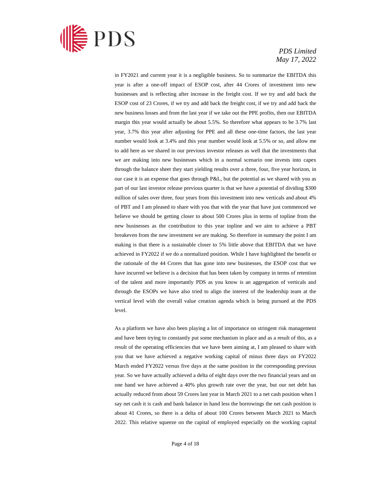

in FY2021 and current year it is a negligible business. So to summarize the EBITDA this year is after a one-off impact of ESOP cost, after 44 Crores of investment into new businesses and is reflecting after increase in the freight cost. If we try and add back the ESOP cost of 23 Crores, if we try and add back the freight cost, if we try and add back the new business losses and from the last year if we take out the PPE profits, then our EBITDA margin this year would actually be about 5.5%. So therefore what appears to be 3.7% last year, 3.7% this year after adjusting for PPE and all these one-time factors, the last year number would look at 3.4% and this year number would look at 5.5% or so, and allow me to add here as we shared in our previous investor releases as well that the investments that we are making into new businesses which in a normal scenario one invests into capex through the balance sheet they start yielding results over a three, four, five year horizon, in our case it is an expense that goes through P&L, but the potential as we shared with you as part of our last investor release previous quarter is that we have a potential of dividing \$300 million of sales over three, four years from this investment into new verticals and about 4% of PBT and I am pleased to share with you that with the year that have just commenced we believe we should be getting closer to about 500 Crores plus in terms of topline from the new businesses as the contribution to this year topline and we aim to achieve a PBT breakeven from the new investment we are making. So therefore in summary the point I am making is that there is a sustainable closer to 5% little above that EBITDA that we have achieved in FY2022 if we do a normalized position. While I have highlighted the benefit or the rationale of the 44 Crores that has gone into new businesses, the ESOP cost that we have incurred we believe is a decision that has been taken by company in terms of retention of the talent and more importantly PDS as you know is an aggregation of verticals and through the ESOPs we have also tried to align the interest of the leadership team at the vertical level with the overall value creation agenda which is being pursued at the PDS level.

As a platform we have also been playing a lot of importance on stringent risk management and have been trying to constantly put some mechanism in place and as a result of this, as a result of the operating efficiencies that we have been aiming at, I am pleased to share with you that we have achieved a negative working capital of minus three days on FY2022 March ended FY2022 versus five days at the same position in the corresponding previous year. So we have actually achieved a delta of eight days over the two financial years and on one hand we have achieved a 40% plus growth rate over the year, but our net debt has actually reduced from about 59 Crores last year in March 2021 to a net cash position when I say net cash it is cash and bank balance in hand less the borrowings the net cash position is about 41 Crores, so there is a delta of about 100 Crores between March 2021 to March 2022. This relative squeeze on the capital of employed especially on the working capital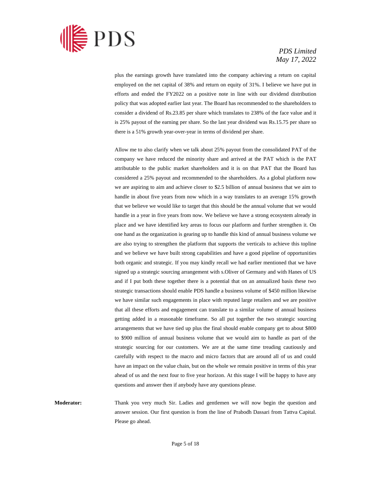

plus the earnings growth have translated into the company achieving a return on capital employed on the net capital of 38% and return on equity of 31%. I believe we have put in efforts and ended the FY2022 on a positive note in line with our dividend distribution policy that was adopted earlier last year. The Board has recommended to the shareholders to consider a dividend of Rs.23.85 per share which translates to 238% of the face value and it is 25% payout of the earning per share. So the last year dividend was Rs.15.75 per share so there is a 51% growth year-over-year in terms of dividend per share.

Allow me to also clarify when we talk about 25% payout from the consolidated PAT of the company we have reduced the minority share and arrived at the PAT which is the PAT attributable to the public market shareholders and it is on that PAT that the Board has considered a 25% payout and recommended to the shareholders. As a global platform now we are aspiring to aim and achieve closer to \$2.5 billion of annual business that we aim to handle in about five years from now which in a way translates to an average 15% growth that we believe we would like to target that this should be the annual volume that we would handle in a year in five years from now. We believe we have a strong ecosystem already in place and we have identified key areas to focus our platform and further strengthen it. On one hand as the organization is gearing up to handle this kind of annual business volume we are also trying to strengthen the platform that supports the verticals to achieve this topline and we believe we have built strong capabilities and have a good pipeline of opportunities both organic and strategic. If you may kindly recall we had earlier mentioned that we have signed up a strategic sourcing arrangement with s.Oliver of Germany and with Hanes of US and if I put both these together there is a potential that on an annualized basis these two strategic transactions should enable PDS handle a business volume of \$450 million likewise we have similar such engagements in place with reputed large retailers and we are positive that all these efforts and engagement can translate to a similar volume of annual business getting added in a reasonable timeframe. So all put together the two strategic sourcing arrangements that we have tied up plus the final should enable company get to about \$800 to \$900 million of annual business volume that we would aim to handle as part of the strategic sourcing for our customers. We are at the same time treading cautiously and carefully with respect to the macro and micro factors that are around all of us and could have an impact on the value chain, but on the whole we remain positive in terms of this year ahead of us and the next four to five year horizon. At this stage I will be happy to have any questions and answer then if anybody have any questions please.

**Moderator:** Thank you very much Sir. Ladies and gentlemen we will now begin the question and answer session. Our first question is from the line of Prabodh Dassari from Tattva Capital. Please go ahead.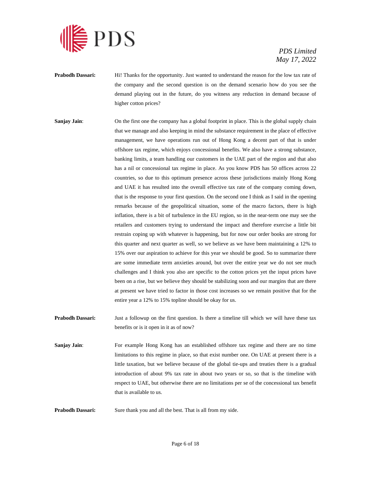

- **Prabodh Dassari:** Hi! Thanks for the opportunity. Just wanted to understand the reason for the low tax rate of the company and the second question is on the demand scenario how do you see the demand playing out in the future, do you witness any reduction in demand because of higher cotton prices?
- **Sanjay Jain:** On the first one the company has a global footprint in place. This is the global supply chain that we manage and also keeping in mind the substance requirement in the place of effective management, we have operations run out of Hong Kong a decent part of that is under offshore tax regime, which enjoys concessional benefits. We also have a strong substance, banking limits, a team handling our customers in the UAE part of the region and that also has a nil or concessional tax regime in place. As you know PDS has 50 offices across 22 countries, so due to this optimum presence across these jurisdictions mainly Hong Kong and UAE it has resulted into the overall effective tax rate of the company coming down, that is the response to your first question. On the second one I think as I said in the opening remarks because of the geopolitical situation, some of the macro factors, there is high inflation, there is a bit of turbulence in the EU region, so in the near-term one may see the retailers and customers trying to understand the impact and therefore exercise a little bit restrain coping up with whatever is happening, but for now our order books are strong for this quarter and next quarter as well, so we believe as we have been maintaining a 12% to 15% over our aspiration to achieve for this year we should be good. So to summarize there are some immediate term anxieties around, but over the entire year we do not see much challenges and I think you also are specific to the cotton prices yet the input prices have been on a rise, but we believe they should be stabilizing soon and our margins that are there at present we have tried to factor in those cost increases so we remain positive that for the entire year a 12% to 15% topline should be okay for us.
- **Prabodh Dassari:** Just a followup on the first question. Is there a timeline till which we will have these tax benefits or is it open in it as of now?
- **Sanjay Jain:** For example Hong Kong has an established offshore tax regime and there are no time limitations to this regime in place, so that exist number one. On UAE at present there is a little taxation, but we believe because of the global tie-ups and treaties there is a gradual introduction of about 9% tax rate in about two years or so, so that is the timeline with respect to UAE, but otherwise there are no limitations per se of the concessional tax benefit that is available to us.
- **Prabodh Dassari:** Sure thank you and all the best. That is all from my side.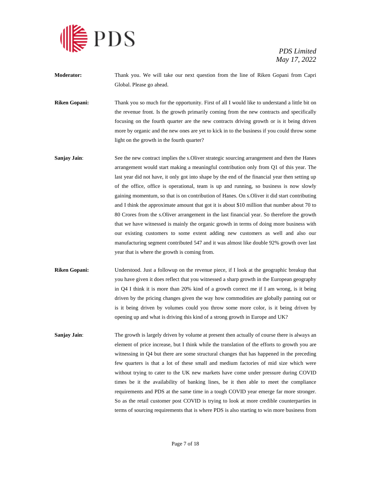

**Moderator:** Thank you. We will take our next question from the line of Riken Gopani from Capri Global. Please go ahead.

**Riken Gopani:** Thank you so much for the opportunity. First of all I would like to understand a little bit on the revenue front. Is the growth primarily coming from the new contracts and specifically focusing on the fourth quarter are the new contracts driving growth or is it being driven more by organic and the new ones are yet to kick in to the business if you could throw some light on the growth in the fourth quarter?

- **Sanjay Jain:** See the new contract implies the s. Oliver strategic sourcing arrangement and then the Hanes arrangement would start making a meaningful contribution only from Q1 of this year. The last year did not have, it only got into shape by the end of the financial year then setting up of the office, office is operational, team is up and running, so business is now slowly gaining momentum, so that is on contribution of Hanes. On s.Oliver it did start contributing and I think the approximate amount that got it is about \$10 million that number about 70 to 80 Crores from the s.Oliver arrangement in the last financial year. So therefore the growth that we have witnessed is mainly the organic growth in terms of doing more business with our existing customers to some extent adding new customers as well and also our manufacturing segment contributed 547 and it was almost like double 92% growth over last year that is where the growth is coming from.
- **Riken Gopani:** Understood. Just a followup on the revenue piece, if I look at the geographic breakup that you have given it does reflect that you witnessed a sharp growth in the European geography in Q4 I think it is more than 20% kind of a growth correct me if I am wrong, is it being driven by the pricing changes given the way how commodities are globally panning out or is it being driven by volumes could you throw some more color, is it being driven by opening up and what is driving this kind of a strong growth in Europe and UK?

**Sanjay Jain:** The growth is largely driven by volume at present then actually of course there is always an element of price increase, but I think while the translation of the efforts to growth you are witnessing in Q4 but there are some structural changes that has happened in the preceding few quarters is that a lot of these small and medium factories of mid size which were without trying to cater to the UK new markets have come under pressure during COVID times be it the availability of banking lines, be it then able to meet the compliance requirements and PDS at the same time in a tough COVID year emerge far more stronger. So as the retail customer post COVID is trying to look at more credible counterparties in terms of sourcing requirements that is where PDS is also starting to win more business from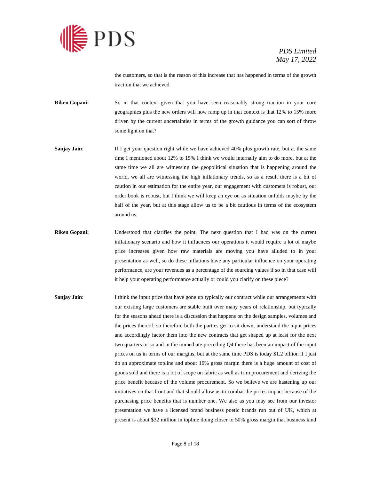

the customers, so that is the reason of this increase that has happened in terms of the growth traction that we achieved.

- **Riken Gopani:** So in that context given that you have seen reasonably strong traction in your core geographies plus the new orders will now ramp up in that context is that 12% to 15% more driven by the current uncertainties in terms of the growth guidance you can sort of throw some light on that?
- **Sanjay Jain:** If I get your question right while we have achieved 40% plus growth rate, but at the same time I mentioned about 12% to 15% I think we would internally aim to do more, but at the same time we all are witnessing the geopolitical situation that is happening around the world, we all are witnessing the high inflationary trends, so as a result there is a bit of caution in our estimation for the entire year, our engagement with customers is robust, our order book is robust, but I think we will keep an eye on as situation unfolds maybe by the half of the year, but at this stage allow us to be a bit cautious in terms of the ecosystem around us.
- **Riken Gopani:** Understood that clarifies the point. The next question that I had was on the current inflationary scenario and how it influences our operations it would require a lot of maybe price increases given how raw materials are moving you have alluded to in your presentation as well, so do these inflations have any particular influence on your operating performance, are your revenues as a percentage of the sourcing values if so in that case will it help your operating performance actually or could you clarify on these piece?
- **Sanjay Jain:** I think the input price that have gone up typically our contract while our arrangements with our existing large customers are stable built over many years of relationship, but typically for the seasons ahead there is a discussion that happens on the design samples, volumes and the prices thereof, so therefore both the parties get to sit down, understand the input prices and accordingly factor them into the new contracts that get shaped up at least for the next two quarters or so and in the immediate preceding Q4 there has been an impact of the input prices on us in terms of our margins, but at the same time PDS is today \$1.2 billion if I just do an approximate topline and about 16% gross margin there is a huge amount of cost of goods sold and there is a lot of scope on fabric as well as trim procurement and deriving the price benefit because of the volume procurement. So we believe we are hastening up our initiatives on that front and that should allow us to combat the prices impact because of the purchasing price benefits that is number one. We also as you may see from our investor presentation we have a licensed brand business poetic brands run out of UK, which at present is about \$32 million in topline doing closer to 50% gross margin that business kind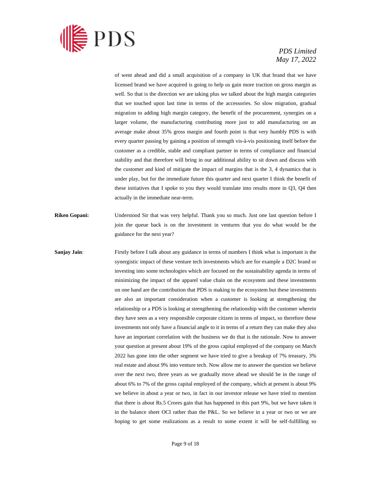

of went ahead and did a small acquisition of a company in UK that brand that we have licensed brand we have acquired is going to help us gain more traction on gross margin as well. So that is the direction we are taking plus we talked about the high margin categories that we touched upon last time in terms of the accessories. So slow migration, gradual migration to adding high margin category, the benefit of the procurement, synergies on a larger volume, the manufacturing contributing more just to add manufacturing on an average make about 35% gross margin and fourth point is that very humbly PDS is with every quarter passing by gaining a position of strength vis-à-vis positioning itself before the customer as a credible, stable and compliant partner in terms of compliance and financial stability and that therefore will bring in our additional ability to sit down and discuss with the customer and kind of mitigate the impact of margins that is the 3, 4 dynamics that is under play, but for the immediate future this quarter and next quarter I think the benefit of these initiatives that I spoke to you they would translate into results more in  $Q_3$ ,  $Q_4$  then actually in the immediate near-term.

- **Riken Gopani:** Understood Sir that was very helpful. Thank you so much. Just one last question before I join the queue back is on the investment in ventures that you do what would be the guidance for the next year?
- **Sanjay Jain:** Firstly before I talk about any guidance in terms of numbers I think what is important is the synergistic impact of these venture tech investments which are for example a D2C brand or investing into some technologies which are focused on the sustainability agenda in terms of minimizing the impact of the apparel value chain on the ecosystem and these investments on one hand are the contribution that PDS is making to the ecosystem but these investments are also an important consideration when a customer is looking at strengthening the relationship or a PDS is looking at strengthening the relationship with the customer wherein they have seen as a very responsible corporate citizen in terms of impact, so therefore these investments not only have a financial angle to it in terms of a return they can make they also have an important correlation with the business we do that is the rationale. Now to answer your question at present about 19% of the gross capital employed of the company on March 2022 has gone into the other segment we have tried to give a breakup of 7% treasury, 3% real estate and about 9% into venture tech. Now allow me to answer the question we believe over the next two, three years as we gradually move ahead we should be in the range of about 6% to 7% of the gross capital employed of the company, which at present is about 9% we believe in about a year or two, in fact in our investor release we have tried to mention that there is about Rs.5 Crores gain that has happened in this part 9%, but we have taken it in the balance sheet OCI rather than the P&L. So we believe in a year or two or we are hoping to get some realizations as a result to some extent it will be self-fulfilling so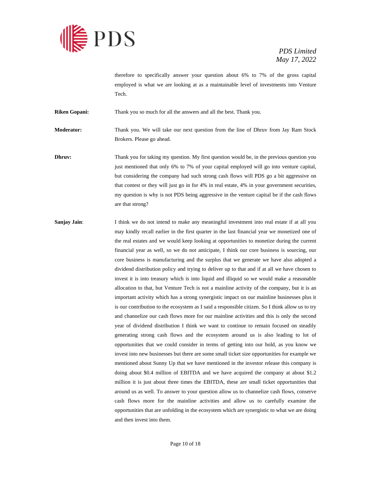

therefore to specifically answer your question about 6% to 7% of the gross capital employed is what we are looking at as a maintainable level of investments into Venture Tech.

**Riken Gopani:** Thank you so much for all the answers and all the best. Thank you.

**Moderator:** Thank you. We will take our next question from the line of Dhruv from Jay Ram Stock Brokers. Please go ahead.

**Dhruv:** Thank you for taking my question. My first question would be, in the previous question you just mentioned that only 6% to 7% of your capital employed will go into venture capital, but considering the company had such strong cash flows will PDS go a bit aggressive on that contest or they will just go in for 4% in real estate, 4% in your government securities, my question is why is not PDS being aggressive in the venture capital be if the cash flows are that strong?

**Sanjay Jain:** I think we do not intend to make any meaningful investment into real estate if at all you may kindly recall earlier in the first quarter in the last financial year we monetized one of the real estates and we would keep looking at opportunities to monetize during the current financial year as well, so we do not anticipate, I think our core business is sourcing, our core business is manufacturing and the surplus that we generate we have also adopted a dividend distribution policy and trying to deliver up to that and if at all we have chosen to invest it is into treasury which is into liquid and illiquid so we would make a reasonable allocation to that, but Venture Tech is not a mainline activity of the company, but it is an important activity which has a strong synergistic impact on our mainline businesses plus it is our contribution to the ecosystem as I said a responsible citizen. So I think allow us to try and channelize our cash flows more for our mainline activities and this is only the second year of dividend distribution I think we want to continue to remain focused on steadily generating strong cash flows and the ecosystem around us is also leading to lot of opportunities that we could consider in terms of getting into our hold, as you know we invest into new businesses but there are some small ticket size opportunities for example we mentioned about Sunny Up that we have mentioned in the investor release this company is doing about \$0.4 million of EBITDA and we have acquired the company at about \$1.2 million it is just about three times the EBITDA, these are small ticket opportunities that around us as well. To answer to your question allow us to channelize cash flows, conserve cash flows more for the mainline activities and allow us to carefully examine the opportunities that are unfolding in the ecosystem which are synergistic to what we are doing and then invest into them.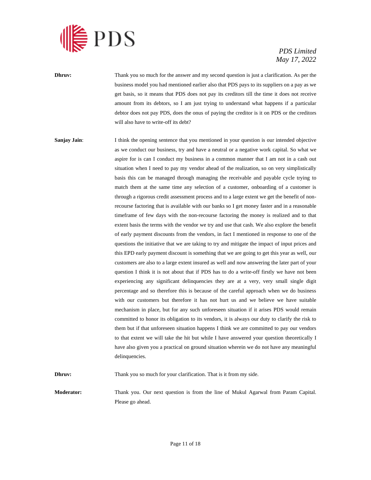

- **Dhruv:** Thank you so much for the answer and my second question is just a clarification. As per the business model you had mentioned earlier also that PDS pays to its suppliers on a pay as we get basis, so it means that PDS does not pay its creditors till the time it does not receive amount from its debtors, so I am just trying to understand what happens if a particular debtor does not pay PDS, does the onus of paying the creditor is it on PDS or the creditors will also have to write-off its debt?
- **Sanjay Jain:** I think the opening sentence that you mentioned in your question is our intended objective as we conduct our business, try and have a neutral or a negative work capital. So what we aspire for is can I conduct my business in a common manner that I am not in a cash out situation when I need to pay my vendor ahead of the realization, so on very simplistically basis this can be managed through managing the receivable and payable cycle trying to match them at the same time any selection of a customer, onboarding of a customer is through a rigorous credit assessment process and to a large extent we get the benefit of nonrecourse factoring that is available with our banks so I get money faster and in a reasonable timeframe of few days with the non-recourse factoring the money is realized and to that extent basis the terms with the vendor we try and use that cash. We also explore the benefit of early payment discounts from the vendors, in fact I mentioned in response to one of the questions the initiative that we are taking to try and mitigate the impact of input prices and this EPD early payment discount is something that we are going to get this year as well, our customers are also to a large extent insured as well and now answering the later part of your question I think it is not about that if PDS has to do a write-off firstly we have not been experiencing any significant delinquencies they are at a very, very small single digit percentage and so therefore this is because of the careful approach when we do business with our customers but therefore it has not hurt us and we believe we have suitable mechanism in place, but for any such unforeseen situation if it arises PDS would remain committed to honor its obligation to its vendors, it is always our duty to clarify the risk to them but if that unforeseen situation happens I think we are committed to pay our vendors to that extent we will take the hit but while I have answered your question theoretically I have also given you a practical on ground situation wherein we do not have any meaningful delinquencies.

**Dhruv:** Thank you so much for your clarification. That is it from my side.

**Moderator:** Thank you. Our next question is from the line of Mukul Agarwal from Param Capital. Please go ahead.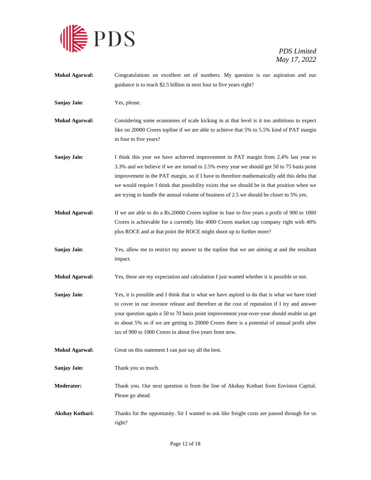

**Mukul Agarwal:** Congratulations on excellent set of numbers. My question is our aspiration and our guidance is to reach \$2.5 billion in next four to five years right? **Sanjay Jain**: Yes, please. **Mukul Agarwal:** Considering some economies of scale kicking in at that level is it too ambitious to expect like on 20000 Crores topline if we are able to achieve that 5% to 5.5% kind of PAT margin in four to five years? **Sanjay Jain:** I think this year we have achieved improvement in PAT margin from 2.4% last year to 3.3% and we believe if we are inroad to 2.5% every year we should get 50 to 75 basis point improvement in the PAT margin, so if I have to therefore mathematically add this delta that we would require I think that possibility exists that we should be in that position when we are trying to handle the annual volume of business of 2.5 we should be closer to 5% yes. **Mukul Agarwal:** If we are able to do a Rs.20000 Crores topline in four to five years a profit of 900 to 1000 Crores is achievable for a currently like 4000 Crores market cap company right with 40% plus ROCE and at that point the ROCE might shoot up to further more? **Sanjay Jain**: Yes, allow me to restrict my answer to the topline that we are aiming at and the resultant impact. **Mukul Agarwal:** Yes, these are my expectation and calculation I just wanted whether it is possible or not. **Sanjay Jain:** Yes, it is possible and I think that is what we have aspired to do that is what we have tried to cover in our investor release and therefore at the cost of reputation if I try and answer your question again a 50 to 70 basis point improvement year-over-year should enable us get to about 5% so if we are getting to 20000 Crores there is a potential of annual profit after tax of 900 to 1000 Crores in about five years from now. **Mukul Agarwal:** Great on this statement I can just say all the best. **Sanjay Jain**: Thank you so much. **Moderator:** Thank you. Our next question is from the line of Akshay Kothari from Envision Capital. Please go ahead. **Akshay Kothari:** Thanks for the opportunity. Sir I wanted to ask like freight costs are passed through for us right?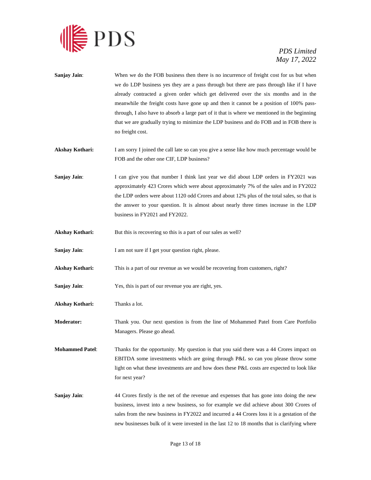

| Sanjay Jain:           | When we do the FOB business then there is no incurrence of freight cost for us but when<br>we do LDP business yes they are a pass through but there are pass through like if I have<br>already contracted a given order which get delivered over the six months and in the<br>meanwhile the freight costs have gone up and then it cannot be a position of 100% pass-<br>through, I also have to absorb a large part of it that is where we mentioned in the beginning<br>that we are gradually trying to minimize the LDP business and do FOB and in FOB there is<br>no freight cost. |
|------------------------|----------------------------------------------------------------------------------------------------------------------------------------------------------------------------------------------------------------------------------------------------------------------------------------------------------------------------------------------------------------------------------------------------------------------------------------------------------------------------------------------------------------------------------------------------------------------------------------|
| Akshay Kothari:        | I am sorry I joined the call late so can you give a sense like how much percentage would be<br>FOB and the other one CIF, LDP business?                                                                                                                                                                                                                                                                                                                                                                                                                                                |
| Sanjay Jain:           | I can give you that number I think last year we did about LDP orders in FY2021 was<br>approximately 423 Crores which were about approximately 7% of the sales and in FY2022<br>the LDP orders were about 1120 odd Crores and about 12% plus of the total sales, so that is<br>the answer to your question. It is almost about nearly three times increase in the LDP<br>business in FY2021 and FY2022.                                                                                                                                                                                 |
| Akshay Kothari:        | But this is recovering so this is a part of our sales as well?                                                                                                                                                                                                                                                                                                                                                                                                                                                                                                                         |
| Sanjay Jain:           | I am not sure if I get your question right, please.                                                                                                                                                                                                                                                                                                                                                                                                                                                                                                                                    |
| Akshay Kothari:        | This is a part of our revenue as we would be recovering from customers, right?                                                                                                                                                                                                                                                                                                                                                                                                                                                                                                         |
| Sanjay Jain:           | Yes, this is part of our revenue you are right, yes.                                                                                                                                                                                                                                                                                                                                                                                                                                                                                                                                   |
| Akshay Kothari:        | Thanks a lot.                                                                                                                                                                                                                                                                                                                                                                                                                                                                                                                                                                          |
| <b>Moderator:</b>      | Thank you. Our next question is from the line of Mohammed Patel from Care Portfolio<br>Managers. Please go ahead.                                                                                                                                                                                                                                                                                                                                                                                                                                                                      |
| <b>Mohammed Patel:</b> | Thanks for the opportunity. My question is that you said there was a 44 Crores impact on<br>EBITDA some investments which are going through P&L so can you please throw some<br>light on what these investments are and how does these P&L costs are expected to look like<br>for next year?                                                                                                                                                                                                                                                                                           |
| Sanjay Jain:           | 44 Crores firstly is the net of the revenue and expenses that has gone into doing the new<br>business, invest into a new business, so for example we did achieve about 300 Crores of<br>sales from the new business in FY2022 and incurred a 44 Crores loss it is a gestation of the<br>new businesses bulk of it were invested in the last 12 to 18 months that is clarifying where                                                                                                                                                                                                   |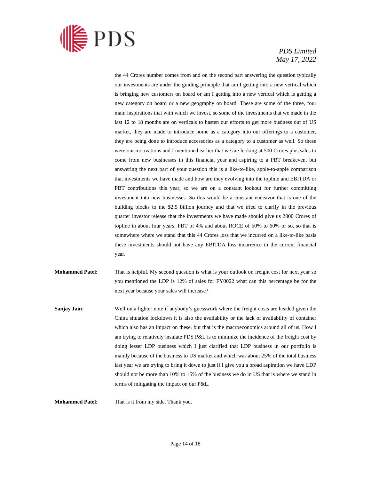

the 44 Crores number comes from and on the second part answering the question typically our investments are under the guiding principle that am I getting into a new vertical which is bringing new customers on board or am I getting into a new vertical which is getting a new category on board or a new geography on board. These are some of the three, four main inspirations that with which we invest, so some of the investments that we made in the last 12 to 18 months are on verticals to hasten our efforts to get more business out of US market, they are made to introduce home as a category into our offerings to a customer, they are being done to introduce accessories as a category to a customer as well. So these were our motivations and I mentioned earlier that we are looking at 500 Crores plus sales to come from new businesses in this financial year and aspiring to a PBT breakeven, but answering the next part of your question this is a like-to-like, apple-to-apple comparison that investments we have made and how are they evolving into the topline and EBITDA or PBT contributions this year, so we are on a constant lookout for further committing investment into new businesses. So this would be a constant endeavor that is one of the building blocks to the \$2.5 billion journey and that we tried to clarify in the previous quarter investor release that the investments we have made should give us 2000 Crores of topline in about four years, PBT of 4% and about ROCE of 50% to 60% or so, so that is somewhere where we stand that this 44 Crores loss that we incurred on a like-to-like basis these investments should not have any EBITDA loss incurrence in the current financial year.

**Mohammed Patel**: That is helpful. My second question is what is your outlook on freight cost for next year so you mentioned the LDP is 12% of sales for FY0022 what can this percentage be for the next year because your sales will increase?

**Sanjay Jain:** Well on a lighter note if anybody's guesswork where the freight costs are headed given the China situation lockdown it is also the availability or the lack of availability of container which also has an impact on these, but that is the macroeconomics around all of us. How I am trying to relatively insulate PDS P&L is to minimize the incidence of the freight cost by doing lesser LDP business which I just clarified that LDP business in our portfolio is mainly because of the business to US market and which was about 25% of the total business last year we are trying to bring it down to just if I give you a broad aspiration we have LDP should not be more than 10% to 15% of the business we do in US that is where we stand in terms of mitigating the impact on our P&L.

**Mohammed Patel**: That is it from my side. Thank you.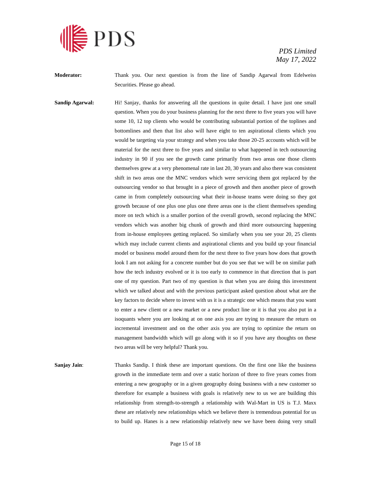

**Moderator:** Thank you. Our next question is from the line of Sandip Agarwal from Edelweiss Securities. Please go ahead.

**Sandip Agarwal:** Hi! Sanjay, thanks for answering all the questions in quite detail. I have just one small question. When you do your business planning for the next three to five years you will have some 10, 12 top clients who would be contributing substantial portion of the toplines and bottomlines and then that list also will have eight to ten aspirational clients which you would be targeting via your strategy and when you take those 20-25 accounts which will be material for the next three to five years and similar to what happened in tech outsourcing industry in 90 if you see the growth came primarily from two areas one those clients themselves grew at a very phenomenal rate in last 20, 30 years and also there was consistent shift in two areas one the MNC vendors which were servicing them got replaced by the outsourcing vendor so that brought in a piece of growth and then another piece of growth came in from completely outsourcing what their in-house teams were doing so they got growth because of one plus one plus one three areas one is the client themselves spending more on tech which is a smaller portion of the overall growth, second replacing the MNC vendors which was another big chunk of growth and third more outsourcing happening from in-house employees getting replaced. So similarly when you see your 20, 25 clients which may include current clients and aspirational clients and you build up your financial model or business model around them for the next three to five years how does that growth look I am not asking for a concrete number but do you see that we will be on similar path how the tech industry evolved or it is too early to commence in that direction that is part one of my question. Part two of my question is that when you are doing this investment which we talked about and with the previous participant asked question about what are the key factors to decide where to invest with us it is a strategic one which means that you want to enter a new client or a new market or a new product line or it is that you also put in a isoquants where you are looking at on one axis you are trying to measure the return on incremental investment and on the other axis you are trying to optimize the return on management bandwidth which will go along with it so if you have any thoughts on these two areas will be very helpful? Thank you.

**Sanjay Jain:** Thanks Sandip. I think these are important questions. On the first one like the business growth in the immediate term and over a static horizon of three to five years comes from entering a new geography or in a given geography doing business with a new customer so therefore for example a business with goals is relatively new to us we are building this relationship from strength-to-strength a relationship with Wal-Mart in US is T.J. Maxx these are relatively new relationships which we believe there is tremendous potential for us to build up. Hanes is a new relationship relatively new we have been doing very small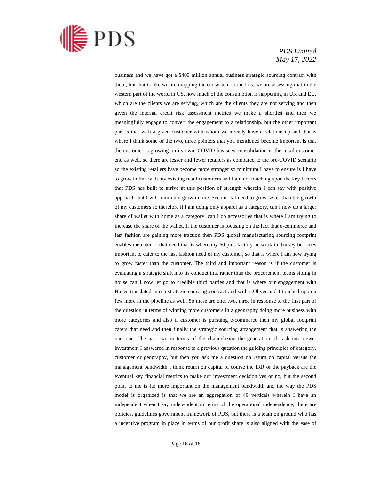

business and we have got a \$400 million annual business strategic sourcing contract with them, but that is like we are mapping the ecosystem around us, we are assessing that in the western part of the world in US, how much of the consumption is happening in UK and EU, which are the clients we are serving, which are the clients they are not serving and then given the internal credit risk assessment metrics we make a shortlist and then we meaningfully engage to convert the engagement to a relationship, but the other important part is that with a given customer with whom we already have a relationship and that is where I think some of the two, three pointers that you mentioned become important is that the customer is growing on its own, COVID has seen consolidation in the retail customer end as well, so there are lesser and fewer retailers as compared to the pre-COVID scenario so the existing retailers have become more stronger so minimum I have to ensure is I have to grow in line with my existing retail customers and I am not touching upon the key factors that PDS has built to arrive at this position of strength wherein I can say with positive approach that I will minimum grow in line. Second is I need to grow faster than the growth of my customers so therefore if I am doing only apparel as a category, can I now do a larger share of wallet with home as a category, can I do accessories that is where I am trying to increase the share of the wallet. If the customer is focusing on the fact that e-commerce and fast fashion are gaining more traction then PDS global manufacturing sourcing footprint enables me cater to that need that is where my 60 plus factory network in Turkey becomes important to cater to the fast fashion need of my customer, so that is where I am now trying to grow faster than the customer. The third and important reason is if the customer is evaluating a strategic shift into its conduct that rather than the procurement teams sitting in house can I now let go to credible third parties and that is where our engagement with Hanes translated into a strategic sourcing contract and with s.Oliver and I touched upon a few more in the pipeline as well. So these are one, two, three in response to the first part of the question in terms of winning more customers in a geography doing more business with more categories and also if customer is pursuing e-commerce then my global footprint caters that need and then finally the strategic sourcing arrangement that is answering the part one. The part two in terms of the channelizing the generation of cash into newer investment I answered in response to a previous question the guiding principles of category, customer or geography, but then you ask me a question on return on capital versus the management bandwidth I think return on capital of course the IRR or the payback are the eventual key financial metrics to make our investment decision yes or no, but the second point to me is far more important on the management bandwidth and the way the PDS model is organized is that we are an aggregation of 40 verticals wherein I have an independent when I say independent in terms of the operational independence, there are policies, guidelines government framework of PDS, but there is a team on ground who has a incentive program in place in terms of our profit share is also aligned with the ease of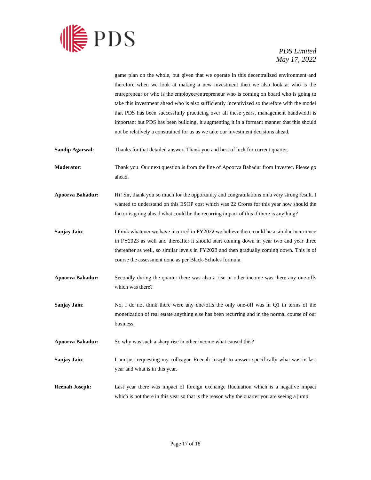

game plan on the whole, but given that we operate in this decentralized environment and therefore when we look at making a new investment then we also look at who is the entrepreneur or who is the employee/entrepreneur who is coming on board who is going to take this investment ahead who is also sufficiently incentivized so therefore with the model that PDS has been successfully practicing over all these years, management bandwidth is important but PDS has been building, it augmenting it in a formant manner that this should not be relatively a constrained for us as we take our investment decisions ahead.

**Sandip Agarwal:** Thanks for that detailed answer. Thank you and best of luck for current quarter.

**Moderator:** Thank you. Our next question is from the line of Apoorva Bahadur from Investec. Please go ahead.

**Apoorva Bahadur:** Hi! Sir, thank you so much for the opportunity and congratulations on a very strong result. I wanted to understand on this ESOP cost which was 22 Crores for this year how should the factor is going ahead what could be the recurring impact of this if there is anything?

- **Sanjay Jain:** I think whatever we have incurred in FY2022 we believe there could be a similar incurrence in FY2023 as well and thereafter it should start coming down in year two and year three thereafter as well, so similar levels in FY2023 and then gradually coming down. This is of course the assessment done as per Black-Scholes formula.
- **Apoorva Bahadur:** Secondly during the quarter there was also a rise in other income was there any one-offs which was there?
- **Sanjay Jain:** No, I do not think there were any one-offs the only one-off was in Q1 in terms of the monetization of real estate anything else has been recurring and in the normal course of our business.

**Apoorva Bahadur:** So why was such a sharp rise in other income what caused this?

**Sanjay Jain:** I am just requesting my colleague Reenah Joseph to answer specifically what was in last year and what is in this year.

**Reenah Joseph:** Last year there was impact of foreign exchange fluctuation which is a negative impact which is not there in this year so that is the reason why the quarter you are seeing a jump.